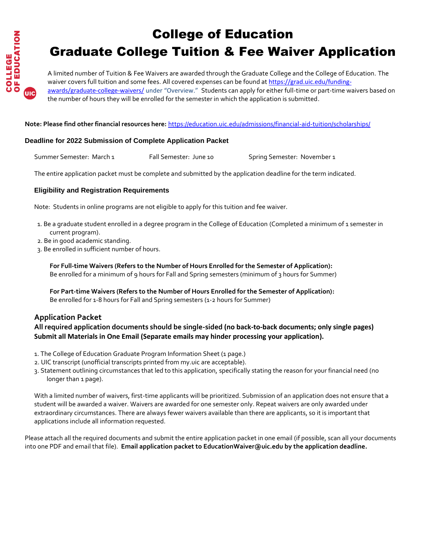

# College of Education Graduate College Tuition & Fee Waiver Application

A limited number of Tuition & Fee Waivers are awarded through the Graduate College and the College of Education. The waiver covers full tuition and some fees. All covered expenses can be found at [https://grad.uic.edu/funding](https://grad.uic.edu/funding-awards/graduate-college-waivers/)[awards/graduate-college-waivers/](https://grad.uic.edu/funding-awards/graduate-college-waivers/) under "Overview." Students can apply for either full-time or part-time waivers based on the number of hours they will be enrolled for the semester in which the application is submitted.

**Note: Please find other financial resources here:** <https://education.uic.edu/admissions/financial-aid-tuition/scholarships/>

#### **Deadline for 2022 Submission of Complete Application Packet**

Summer Semester: March 1 Fall Semester: June 10 Spring Semester: November 1

The entire application packet must be complete and submitted by the application deadline for the term indicated.

#### **Eligibility and Registration Requirements**

Note: Students in online programs are not eligible to apply for this tuition and fee waiver.

- 1. Be a graduate student enrolled in a degree program in the College of Education (Completed a minimum of 1 semester in current program).
- 2. Be in good academic standing.
- 3. Be enrolled in sufficient number of hours.

**For Full-time Waivers (Refers to the Number of Hours Enrolled for the Semester of Application):**  Be enrolled for a minimum of 9 hours for Fall and Spring semesters (minimum of 3 hours for Summer)

**For Part-time Waivers (Refers to the Number of Hours Enrolled for the Semester of Application):** Be enrolled for 1-8 hours for Fall and Spring semesters (1-2 hours for Summer)

## **Application Packet**

### **All required application documents should be single-sided (no back-to-back documents; only single pages) Submit all Materials in One Email (Separate emails may hinder processing your application).**

- 1. The College of Education Graduate Program Information Sheet (1 page.)
- 2. UIC transcript (unofficial transcripts printed from my.uic are acceptable).
- 3. Statement outlining circumstances that led to this application, specifically stating the reason for your financial need (no longer than 1 page).

With a limited number of waivers, first-time applicants will be prioritized. Submission of an application does not ensure that a student will be awarded a waiver. Waivers are awarded for one semester only. Repeat waivers are only awarded under extraordinary circumstances. There are always fewer waivers available than there are applicants, so it is important that applications include all information requested.

Please attach all the required documents and submit the entire application packet in one email (if possible, scan all your documents into one PDF and email that file). **Email application packet to EducationWaiver@uic.edu by the application deadline.**